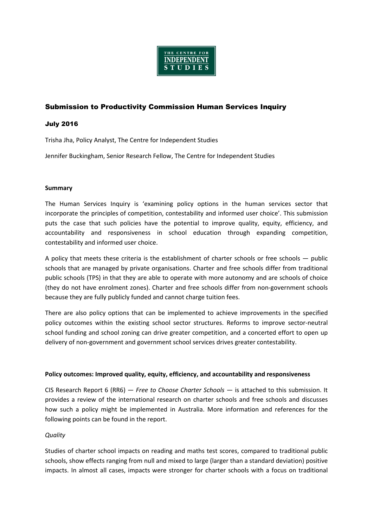

# Submission to Productivity Commission Human Services Inquiry

#### July 2016

Trisha Jha, Policy Analyst, The Centre for Independent Studies

Jennifer Buckingham, Senior Research Fellow, The Centre for Independent Studies

#### **Summary**

The Human Services Inquiry is 'examining policy options in the human services sector that incorporate the principles of competition, contestability and informed user choice'. This submission puts the case that such policies have the potential to improve quality, equity, efficiency, and accountability and responsiveness in school education through expanding competition, contestability and informed user choice.

A policy that meets these criteria is the establishment of charter schools or free schools ― public schools that are managed by private organisations. Charter and free schools differ from traditional public schools (TPS) in that they are able to operate with more autonomy and are schools of choice (they do not have enrolment zones). Charter and free schools differ from non-government schools because they are fully publicly funded and cannot charge tuition fees.

There are also policy options that can be implemented to achieve improvements in the specified policy outcomes within the existing school sector structures. Reforms to improve sector-neutral school funding and school zoning can drive greater competition, and a concerted effort to open up delivery of non-government and government school services drives greater contestability.

#### **Policy outcomes: Improved quality, equity, efficiency, and accountability and responsiveness**

CIS Research Report 6 (RR6) — *Free to Choose Charter Schools* — is attached to this submission. It provides a review of the international research on charter schools and free schools and discusses how such a policy might be implemented in Australia. More information and references for the following points can be found in the report.

#### *Quality*

Studies of charter school impacts on reading and maths test scores, compared to traditional public schools, show effects ranging from null and mixed to large (larger than a standard deviation) positive impacts. In almost all cases, impacts were stronger for charter schools with a focus on traditional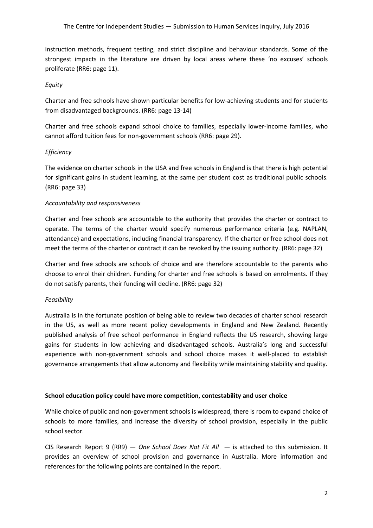instruction methods, frequent testing, and strict discipline and behaviour standards. Some of the strongest impacts in the literature are driven by local areas where these 'no excuses' schools proliferate (RR6: page 11).

### *Equity*

Charter and free schools have shown particular benefits for low-achieving students and for students from disadvantaged backgrounds. (RR6: page 13-14)

Charter and free schools expand school choice to families, especially lower-income families, who cannot afford tuition fees for non-government schools (RR6: page 29).

### *Efficiency*

The evidence on charter schools in the USA and free schools in England is that there is high potential for significant gains in student learning, at the same per student cost as traditional public schools. (RR6: page 33)

#### *Accountability and responsiveness*

Charter and free schools are accountable to the authority that provides the charter or contract to operate. The terms of the charter would specify numerous performance criteria (e.g. NAPLAN, attendance) and expectations, including financial transparency. If the charter or free school does not meet the terms of the charter or contract it can be revoked by the issuing authority. (RR6: page 32)

Charter and free schools are schools of choice and are therefore accountable to the parents who choose to enrol their children. Funding for charter and free schools is based on enrolments. If they do not satisfy parents, their funding will decline. (RR6: page 32)

#### *Feasibility*

Australia is in the fortunate position of being able to review two decades of charter school research in the US, as well as more recent policy developments in England and New Zealand. Recently published analysis of free school performance in England reflects the US research, showing large gains for students in low achieving and disadvantaged schools. Australia's long and successful experience with non-government schools and school choice makes it well-placed to establish governance arrangements that allow autonomy and flexibility while maintaining stability and quality.

#### **School education policy could have more competition, contestability and user choice**

While choice of public and non-government schools is widespread, there is room to expand choice of schools to more families, and increase the diversity of school provision, especially in the public school sector.

CIS Research Report 9 (RR9) — *One School Does Not Fit All ―* is attached to this submission. It provides an overview of school provision and governance in Australia. More information and references for the following points are contained in the report.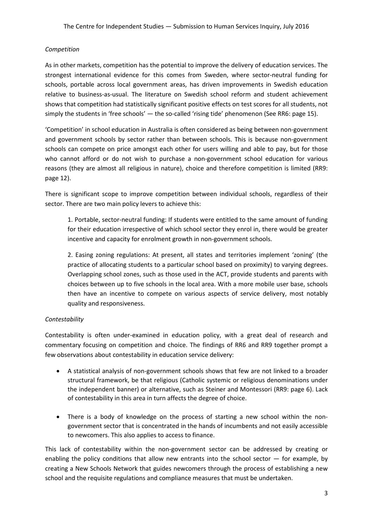### *Competition*

As in other markets, competition has the potential to improve the delivery of education services. The strongest international evidence for this comes from Sweden, where sector-neutral funding for schools, portable across local government areas, has driven improvements in Swedish education relative to business-as-usual. The literature on Swedish school reform and student achievement shows that competition had statistically significant positive effects on test scores for all students, not simply the students in 'free schools' - the so-called 'rising tide' phenomenon (See RR6: page 15).

'Competition' in school education in Australia is often considered as being between non-government and government schools by sector rather than between schools. This is because non-government schools can compete on price amongst each other for users willing and able to pay, but for those who cannot afford or do not wish to purchase a non-government school education for various reasons (they are almost all religious in nature), choice and therefore competition is limited (RR9: page 12).

There is significant scope to improve competition between individual schools, regardless of their sector. There are two main policy levers to achieve this:

1. Portable, sector-neutral funding: If students were entitled to the same amount of funding for their education irrespective of which school sector they enrol in, there would be greater incentive and capacity for enrolment growth in non-government schools.

2. Easing zoning regulations: At present, all states and territories implement 'zoning' (the practice of allocating students to a particular school based on proximity) to varying degrees. Overlapping school zones, such as those used in the ACT, provide students and parents with choices between up to five schools in the local area. With a more mobile user base, schools then have an incentive to compete on various aspects of service delivery, most notably quality and responsiveness.

## *Contestability*

Contestability is often under-examined in education policy, with a great deal of research and commentary focusing on competition and choice. The findings of RR6 and RR9 together prompt a few observations about contestability in education service delivery:

- A statistical analysis of non-government schools shows that few are not linked to a broader structural framework, be that religious (Catholic systemic or religious denominations under the independent banner) or alternative, such as Steiner and Montessori (RR9: page 6). Lack of contestability in this area in turn affects the degree of choice.
- There is a body of knowledge on the process of starting a new school within the nongovernment sector that is concentrated in the hands of incumbents and not easily accessible to newcomers. This also applies to access to finance.

This lack of contestability within the non-government sector can be addressed by creating or enabling the policy conditions that allow new entrants into the school sector  $-$  for example, by creating a New Schools Network that guides newcomers through the process of establishing a new school and the requisite regulations and compliance measures that must be undertaken.